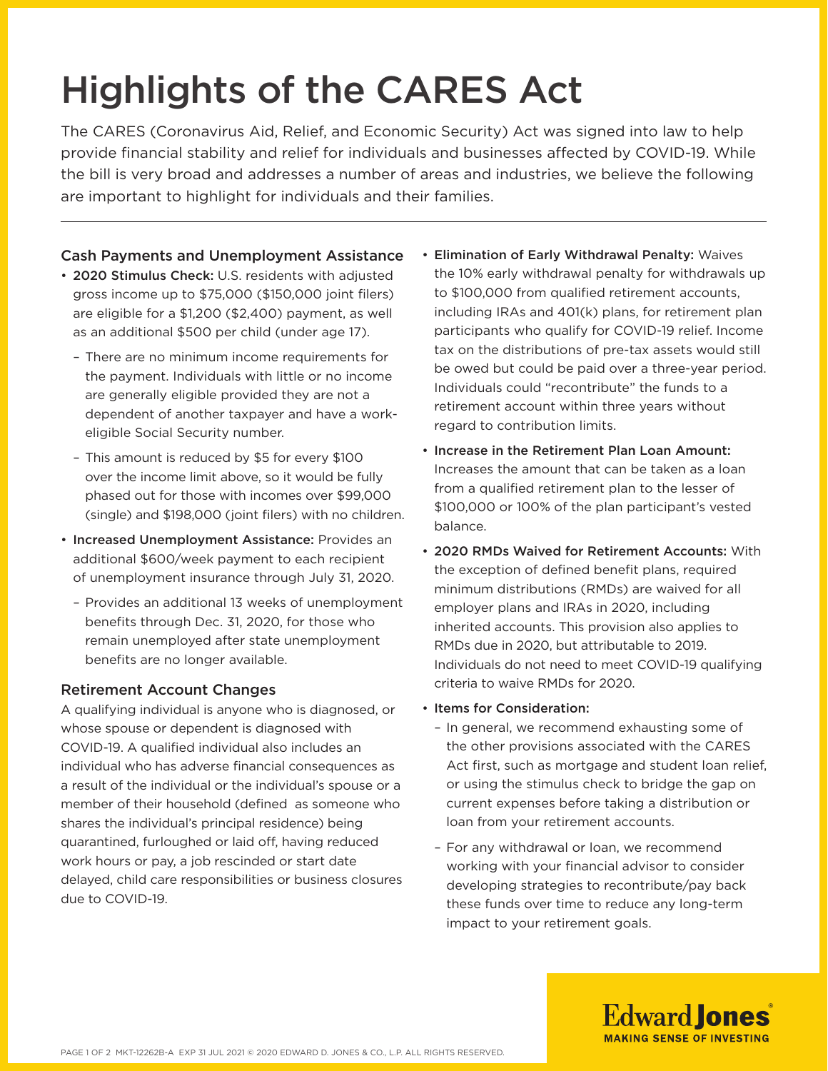# Highlights of the CARES Act

The CARES (Coronavirus Aid, Relief, and Economic Security) Act was signed into law to help provide financial stability and relief for individuals and businesses affected by COVID-19. While the bill is very broad and addresses a number of areas and industries, we believe the following are important to highlight for individuals and their families.

# Cash Payments and Unemployment Assistance

- 2020 Stimulus Check: U.S. residents with adjusted gross income up to \$75,000 (\$150,000 joint filers) are eligible for a \$1,200 (\$2,400) payment, as well as an additional \$500 per child (under age 17).
	- There are no minimum income requirements for the payment. Individuals with little or no income are generally eligible provided they are not a dependent of another taxpayer and have a workeligible Social Security number.
	- This amount is reduced by \$5 for every \$100 over the income limit above, so it would be fully phased out for those with incomes over \$99,000 (single) and \$198,000 (joint filers) with no children.
- Increased Unemployment Assistance: Provides an additional \$600/week payment to each recipient of unemployment insurance through July 31, 2020.
	- Provides an additional 13 weeks of unemployment benefits through Dec. 31, 2020, for those who remain unemployed after state unemployment benefits are no longer available.

## Retirement Account Changes

A qualifying individual is anyone who is diagnosed, or whose spouse or dependent is diagnosed with COVID-19. A qualified individual also includes an individual who has adverse financial consequences as a result of the individual or the individual's spouse or a member of their household (defined as someone who shares the individual's principal residence) being quarantined, furloughed or laid off, having reduced work hours or pay, a job rescinded or start date delayed, child care responsibilities or business closures due to COVID-19.

- Elimination of Early Withdrawal Penalty: Waives the 10% early withdrawal penalty for withdrawals up to \$100,000 from qualified retirement accounts, including IRAs and 401(k) plans, for retirement plan participants who qualify for COVID-19 relief. Income tax on the distributions of pre-tax assets would still be owed but could be paid over a three-year period. Individuals could "recontribute" the funds to a retirement account within three years without regard to contribution limits.
- Increase in the Retirement Plan Loan Amount: Increases the amount that can be taken as a loan from a qualified retirement plan to the lesser of \$100,000 or 100% of the plan participant's vested balance.
- 2020 RMDs Waived for Retirement Accounts: With the exception of defined benefit plans, required minimum distributions (RMDs) are waived for all employer plans and IRAs in 2020, including inherited accounts. This provision also applies to RMDs due in 2020, but attributable to 2019. Individuals do not need to meet COVID-19 qualifying criteria to waive RMDs for 2020.

### • Items for Consideration:

- In general, we recommend exhausting some of the other provisions associated with the CARES Act first, such as mortgage and student loan relief, or using the stimulus check to bridge the gap on current expenses before taking a distribution or loan from your retirement accounts.
- For any withdrawal or loan, we recommend working with your financial advisor to consider developing strategies to recontribute/pay back these funds over time to reduce any long-term impact to your retirement goals.

**Edward Jones MAKING SENSE OF INVESTING**